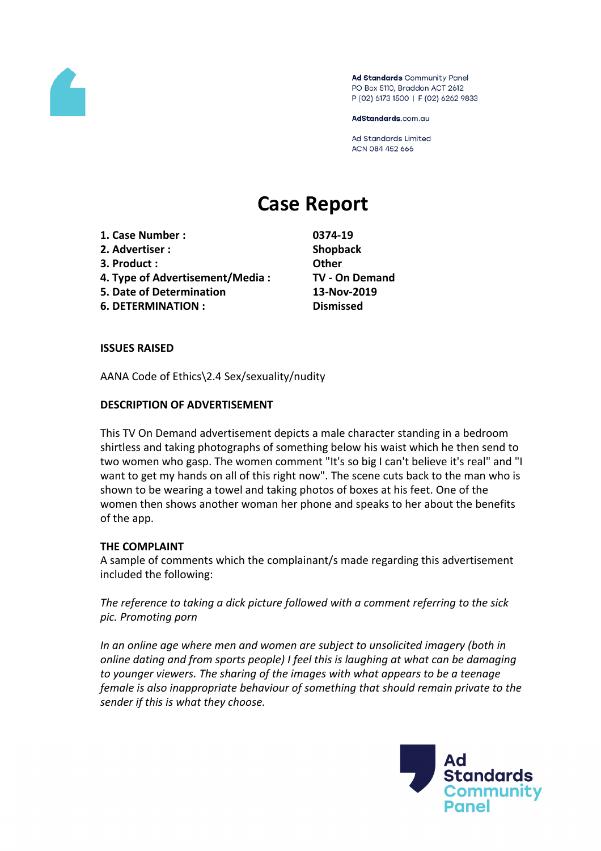

Ad Standards Community Panel PO Box 5110, Braddon ACT 2612 P (02) 6173 1500 | F (02) 6262 9833

AdStandards.com.au

**Ad Standards Limited** ACN 084 452 666

# **Case Report**

- **1. Case Number : 0374-19**
- **2. Advertiser : Shopback**
- **3. Product : Other**
- **4. Type of Advertisement/Media : TV - On Demand**
- **5. Date of Determination 13-Nov-2019**
- **6. DETERMINATION : Dismissed**

## **ISSUES RAISED**

AANA Code of Ethics\2.4 Sex/sexuality/nudity

## **DESCRIPTION OF ADVERTISEMENT**

This TV On Demand advertisement depicts a male character standing in a bedroom shirtless and taking photographs of something below his waist which he then send to two women who gasp. The women comment "It's so big I can't believe it's real" and "I want to get my hands on all of this right now". The scene cuts back to the man who is shown to be wearing a towel and taking photos of boxes at his feet. One of the women then shows another woman her phone and speaks to her about the benefits of the app.

#### **THE COMPLAINT**

A sample of comments which the complainant/s made regarding this advertisement included the following:

*The reference to taking a dick picture followed with a comment referring to the sick pic. Promoting porn*

*In an online age where men and women are subject to unsolicited imagery (both in online dating and from sports people) I feel this is laughing at what can be damaging to younger viewers. The sharing of the images with what appears to be a teenage female is also inappropriate behaviour of something that should remain private to the sender if this is what they choose.*

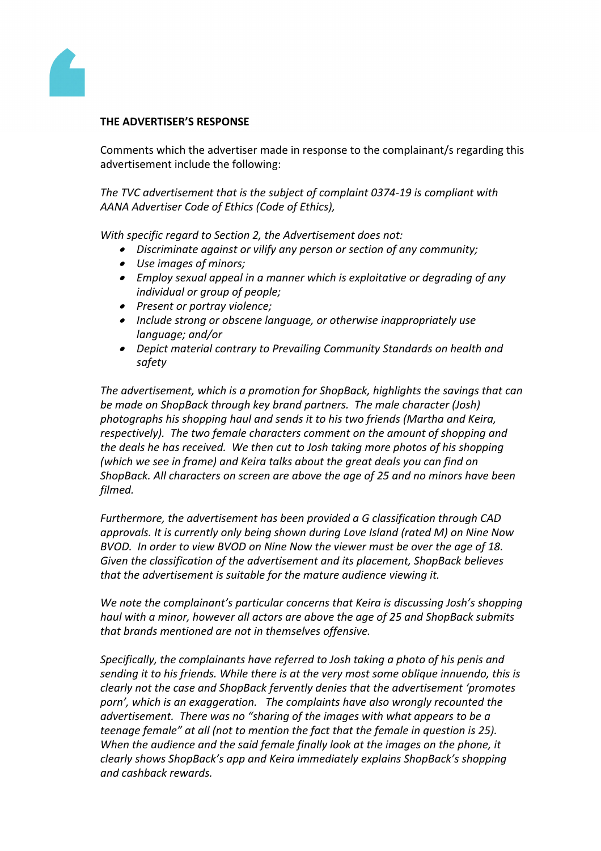

### **THE ADVERTISER'S RESPONSE**

Comments which the advertiser made in response to the complainant/s regarding this advertisement include the following:

*The TVC advertisement that is the subject of complaint 0374-19 is compliant with AANA Advertiser Code of Ethics (Code of Ethics),*

*With specific regard to Section 2, the Advertisement does not:*

- *Discriminate against or vilify any person or section of any community;*
- *Use images of minors;*
- *Employ sexual appeal in a manner which is exploitative or degrading of any individual or group of people;*
- *Present or portray violence;*
- *Include strong or obscene language, or otherwise inappropriately use language; and/or*
- *Depict material contrary to Prevailing Community Standards on health and safety*

*The advertisement, which is a promotion for ShopBack, highlights the savings that can be made on ShopBack through key brand partners. The male character (Josh) photographs his shopping haul and sends it to his two friends (Martha and Keira, respectively). The two female characters comment on the amount of shopping and the deals he has received. We then cut to Josh taking more photos of his shopping (which we see in frame) and Keira talks about the great deals you can find on ShopBack. All characters on screen are above the age of 25 and no minors have been filmed.*

*Furthermore, the advertisement has been provided a G classification through CAD approvals. It is currently only being shown during Love Island (rated M) on Nine Now BVOD. In order to view BVOD on Nine Now the viewer must be over the age of 18. Given the classification of the advertisement and its placement, ShopBack believes that the advertisement is suitable for the mature audience viewing it.*

*We note the complainant's particular concerns that Keira is discussing Josh's shopping haul with a minor, however all actors are above the age of 25 and ShopBack submits that brands mentioned are not in themselves offensive.*

*Specifically, the complainants have referred to Josh taking a photo of his penis and sending it to his friends. While there is at the very most some oblique innuendo, this is clearly not the case and ShopBack fervently denies that the advertisement 'promotes porn', which is an exaggeration. The complaints have also wrongly recounted the advertisement. There was no "sharing of the images with what appears to be a teenage female" at all (not to mention the fact that the female in question is 25). When the audience and the said female finally look at the images on the phone, it clearly shows ShopBack's app and Keira immediately explains ShopBack's shopping and cashback rewards.*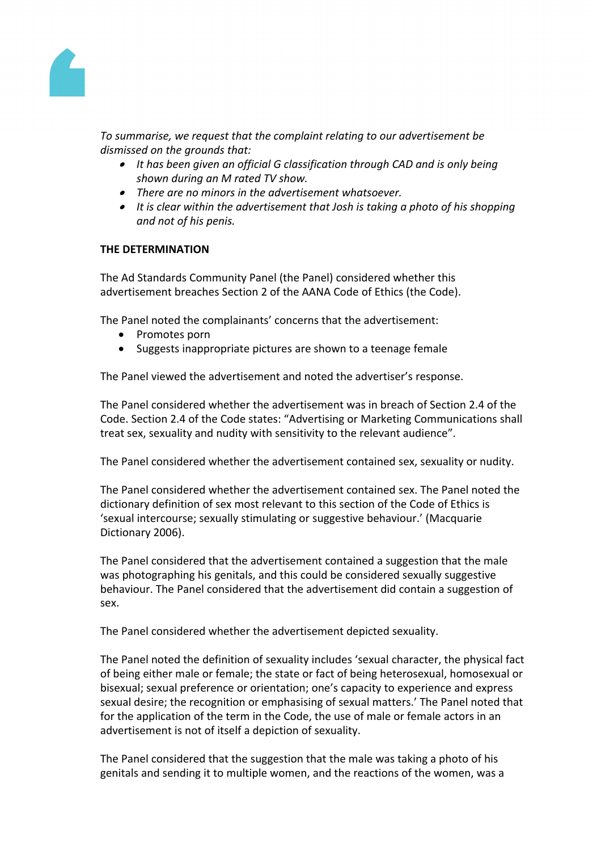

*To summarise, we request that the complaint relating to our advertisement be dismissed on the grounds that:*

- *It has been given an official G classification through CAD and is only being shown during an M rated TV show.*
- *There are no minors in the advertisement whatsoever.*
- *It is clear within the advertisement that Josh is taking a photo of his shopping and not of his penis.*

#### **THE DETERMINATION**

The Ad Standards Community Panel (the Panel) considered whether this advertisement breaches Section 2 of the AANA Code of Ethics (the Code).

The Panel noted the complainants' concerns that the advertisement:

- Promotes porn
- Suggests inappropriate pictures are shown to a teenage female

The Panel viewed the advertisement and noted the advertiser's response.

The Panel considered whether the advertisement was in breach of Section 2.4 of the Code. Section 2.4 of the Code states: "Advertising or Marketing Communications shall treat sex, sexuality and nudity with sensitivity to the relevant audience".

The Panel considered whether the advertisement contained sex, sexuality or nudity.

The Panel considered whether the advertisement contained sex. The Panel noted the dictionary definition of sex most relevant to this section of the Code of Ethics is 'sexual intercourse; sexually stimulating or suggestive behaviour.' (Macquarie Dictionary 2006).

The Panel considered that the advertisement contained a suggestion that the male was photographing his genitals, and this could be considered sexually suggestive behaviour. The Panel considered that the advertisement did contain a suggestion of sex.

The Panel considered whether the advertisement depicted sexuality.

The Panel noted the definition of sexuality includes 'sexual character, the physical fact of being either male or female; the state or fact of being heterosexual, homosexual or bisexual; sexual preference or orientation; one's capacity to experience and express sexual desire; the recognition or emphasising of sexual matters.' The Panel noted that for the application of the term in the Code, the use of male or female actors in an advertisement is not of itself a depiction of sexuality.

The Panel considered that the suggestion that the male was taking a photo of his genitals and sending it to multiple women, and the reactions of the women, was a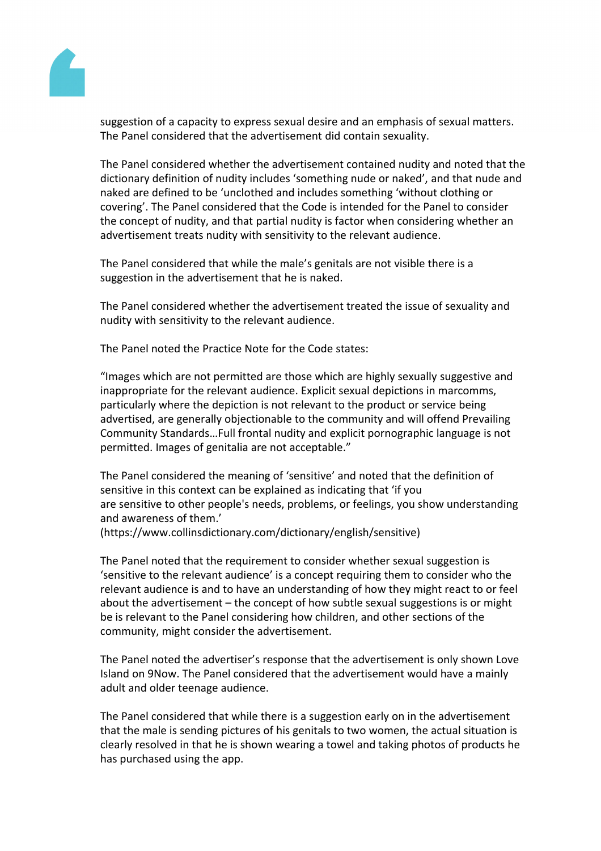

suggestion of a capacity to express sexual desire and an emphasis of sexual matters. The Panel considered that the advertisement did contain sexuality.

The Panel considered whether the advertisement contained nudity and noted that the dictionary definition of nudity includes 'something nude or naked', and that nude and naked are defined to be 'unclothed and includes something 'without clothing or covering'. The Panel considered that the Code is intended for the Panel to consider the concept of nudity, and that partial nudity is factor when considering whether an advertisement treats nudity with sensitivity to the relevant audience.

The Panel considered that while the male's genitals are not visible there is a suggestion in the advertisement that he is naked.

The Panel considered whether the advertisement treated the issue of sexuality and nudity with sensitivity to the relevant audience.

The Panel noted the Practice Note for the Code states:

"Images which are not permitted are those which are highly sexually suggestive and inappropriate for the relevant audience. Explicit sexual depictions in marcomms, particularly where the depiction is not relevant to the product or service being advertised, are generally objectionable to the community and will offend Prevailing Community Standards…Full frontal nudity and explicit pornographic language is not permitted. Images of genitalia are not acceptable."

The Panel considered the meaning of 'sensitive' and noted that the definition of sensitive in this context can be explained as indicating that 'if you are sensitive to other people's needs, problems, or feelings, you show understanding and awareness of them.'

(https://www.collinsdictionary.com/dictionary/english/sensitive)

The Panel noted that the requirement to consider whether sexual suggestion is 'sensitive to the relevant audience' is a concept requiring them to consider who the relevant audience is and to have an understanding of how they might react to or feel about the advertisement – the concept of how subtle sexual suggestions is or might be is relevant to the Panel considering how children, and other sections of the community, might consider the advertisement.

The Panel noted the advertiser's response that the advertisement is only shown Love Island on 9Now. The Panel considered that the advertisement would have a mainly adult and older teenage audience.

The Panel considered that while there is a suggestion early on in the advertisement that the male is sending pictures of his genitals to two women, the actual situation is clearly resolved in that he is shown wearing a towel and taking photos of products he has purchased using the app.